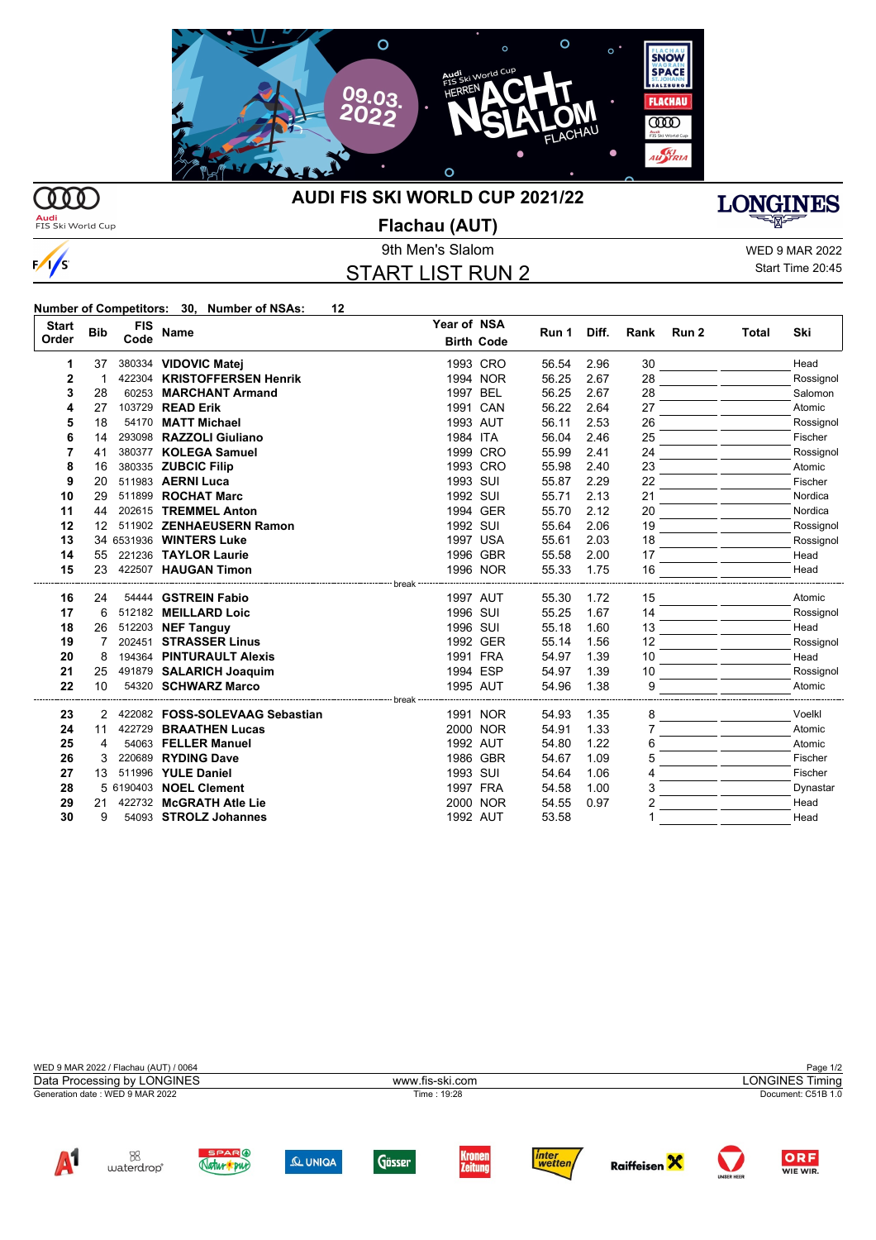

**MD Audi**<br>FIS Ski World Cup

 $\sqrt{s}$ 

## **AUDI FIS SKI WORLD CUP 2021/22**

**Flachau (AUT)**

## START LIST RUN 2

 $\overline{M}$   $\overline{M}$ 

9th Men's Slalom WED 9 MAR 2022

**LONGINES** 

Start Time 20:45

WIE WIR.

## **Number of Competitors: 30, Number of NSAs: 12**

Natur pur

| <b>Start</b><br>Order | <b>Bib</b>        | <b>FIS</b><br>Code | <b>Name</b>                    | Year of NSA | <b>Birth Code</b>    | Run 1 | Diff. | Rank     | Run 2 | Total | Ski       |
|-----------------------|-------------------|--------------------|--------------------------------|-------------|----------------------|-------|-------|----------|-------|-------|-----------|
| 1                     | 37                |                    | 380334 VIDOVIC Matei           |             | 1993 CRO             | 56.54 | 2.96  | 30       |       |       | Head      |
| $\mathbf{2}$          |                   |                    | 422304 KRISTOFFERSEN Henrik    |             | 1994 NOR             | 56.25 | 2.67  | 28       |       |       | Rossignol |
| 3                     | 28                |                    | 60253 MARCHANT Armand          |             | 1997 BEL             | 56.25 | 2.67  | 28       |       |       | Salomon   |
| 4                     | 27                |                    | 103729 READ Erik               |             | 1991 CAN             | 56.22 | 2.64  | 27       |       |       | Atomic    |
| 5                     | 18                |                    | 54170 MATT Michael             |             | 1993 AUT             | 56.11 | 2.53  | 26       |       |       | Rossignol |
| 6                     | 14                |                    | 293098 RAZZOLI Giuliano        | 1984 ITA    |                      | 56.04 | 2.46  | 25       |       |       | Fischer   |
| 7                     | 41                |                    | 380377 KOLEGA Samuel           |             | 1999 CRO             | 55.99 | 2.41  | 24       |       |       | Rossignol |
| 8                     | 16                |                    | 380335 ZUBCIC Filip            |             | 1993 CRO             | 55.98 | 2.40  | 23       |       |       | Atomic    |
| 9                     | 20                |                    | 511983 AERNI Luca              | 1993 SUI    |                      | 55.87 | 2.29  | 22       |       |       | Fischer   |
| 10                    | 29                |                    | 511899 ROCHAT Marc             | 1992 SUI    |                      | 55.71 | 2.13  | 21       |       |       | Nordica   |
| 11                    | 44                |                    | 202615 TREMMEL Anton           |             | 1994 GER             | 55.70 | 2.12  | 20       |       |       | Nordica   |
| 12                    | $12 \overline{ }$ |                    | 511902 ZENHAEUSERN Ramon       | 1992 SUI    |                      | 55.64 | 2.06  | 19       |       |       | Rossignol |
| 13                    |                   |                    | 34 6531936 WINTERS Luke        |             | 1997 USA             | 55.61 | 2.03  | 18       |       |       | Rossignol |
| 14                    | 55                |                    | 221236 TAYLOR Laurie           |             | 1996 GBR             | 55.58 | 2.00  | 17       |       |       | Head      |
| 15                    | 23                |                    | 422507 HAUGAN Timon            |             | 1996 NOR             | 55.33 | 1.75  | 16       |       |       | Head      |
|                       |                   |                    |                                | break ---   |                      |       |       |          |       |       |           |
| 16                    | 24                |                    | 54444 GSTREIN Fabio            |             | 1997 AUT             | 55.30 | 1.72  | 15       |       |       | Atomic    |
| 17                    | 6                 |                    | 512182 MEILLARD Loic           | 1996 SUI    |                      | 55.25 | 1.67  | 14       |       |       | Rossignol |
| 18                    | 26                |                    | 512203 NEF Tanguy              |             | 1996 SUI             | 55.18 | 1.60  | 13       |       |       | Head      |
| 19                    | 7                 |                    | 202451 STRASSER Linus          |             | 1992 GER<br>1991 FRA | 55.14 | 1.56  | 12<br>10 |       |       | Rossignol |
| 20                    | 8                 |                    | 194364 PINTURAULT Alexis       |             |                      | 54.97 | 1.39  |          |       |       | Head      |
| 21                    | 25                |                    | 491879 SALARICH Joaquim        |             | 1994 ESP             | 54.97 | 1.39  | 10       |       |       | Rossignol |
| 22                    | 10                |                    | 54320 SCHWARZ Marco            | break       | 1995 AUT             | 54.96 | 1.38  | 9        |       |       | Atomic    |
| 23                    | 2                 |                    | 422082 FOSS-SOLEVAAG Sebastian |             | 1991 NOR             | 54.93 | 1.35  | 8        |       |       | Voelkl    |
| 24                    | 11                |                    | 422729 BRAATHEN Lucas          |             | 2000 NOR             | 54.91 | 1.33  |          |       |       | Atomic    |
| 25                    | 4                 |                    | 54063 FELLER Manuel            |             | 1992 AUT             | 54.80 | 1.22  | h        |       |       | Atomic    |
| 26                    | 3                 |                    | 220689 RYDING Dave             |             | 1986 GBR             | 54.67 | 1.09  | 5        |       |       | Fischer   |
| 27                    | 13                |                    | 511996 YULE Daniel             |             | 1993 SUI             | 54.64 | 1.06  |          |       |       | Fischer   |
| 28                    |                   |                    | 5 6190403 NOEL Clement         |             | 1997 FRA             | 54.58 | 1.00  | 3        |       |       | Dynastar  |
| 29                    | 21                |                    | 422732 McGRATH Atle Lie        |             | 2000 NOR             | 54.55 | 0.97  |          |       |       | Head      |
| 30                    | 9                 |                    | 54093 STROLZ Johannes          |             | 1992 AUT             | 53.58 |       |          |       |       | Head      |
|                       |                   |                    |                                |             |                      |       |       |          |       |       |           |